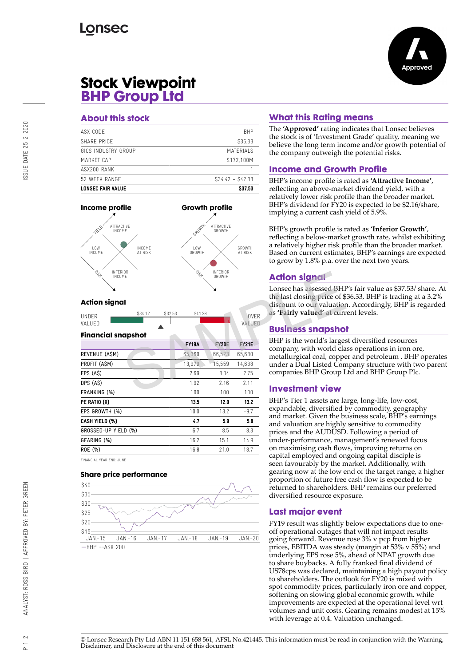

# **Stock Viewpoint BHP Group Ltd**

#### **About this stock**

| <b>LONSEC FAIR VALUE</b> | \$37.53           |
|--------------------------|-------------------|
| 52 WFFK RANGF            | $$34.42 - $42.33$ |
| ASX200 RANK              |                   |
| MARKFT CAP               | \$172,100M        |
| GICS INDUSTRY GROUP      | MATERIAI S        |
| SHARF PRICF              | S36.33            |
| ASX CODE                 | <b>BHP</b>        |
|                          |                   |



### **Action signal**

| <b>IINDER</b> | S34.12<br>، ن ت | 02752 | S41.28 | 011FD<br>M |
|---------------|-----------------|-------|--------|------------|
| VΔI<br>HED    |                 |       |        |            |
|               |                 |       |        |            |
|               |                 |       |        |            |

| NSF<br>INFERIOR<br>INCOME                          | n 15 f       | INFERIOR<br>GROWTH |              | <b>Action signal</b>                                                                                               |  |
|----------------------------------------------------|--------------|--------------------|--------------|--------------------------------------------------------------------------------------------------------------------|--|
| <b>Action signal</b><br>S34.12<br>\$37.53<br>UNDER | S41.28       |                    | <b>OVER</b>  | Lonsec has assessed BHI<br>the last closing price of \$<br>discount to our valuation<br>as 'Fairly valued' at curr |  |
| VALUED                                             |              |                    | VALUED       | <b>Business snapshot</b>                                                                                           |  |
| <b>Financial snapshot</b>                          |              |                    |              |                                                                                                                    |  |
|                                                    | <b>FY19A</b> | <b>FY20E</b>       | <b>FY21E</b> | BHP is the world's larges<br>company, with world cla                                                               |  |
| REVENUE (ASM)                                      | 65,360       | 66,523             | 65,630       | metallurgical coal, coppe<br>under a Dual Listed Con                                                               |  |
| PROFIT (ASM)                                       | 13,970       | 15,559             | 14,638       |                                                                                                                    |  |
| $EPS(A\$                                           | 2.69         | 3.04               | 2.75         | companies BHP Group L                                                                                              |  |
| DPS (A\$)                                          | 1.92         | 2.16               | 2.11         |                                                                                                                    |  |
| FRANKING (%)                                       | 100          | 100                | 100          | <b>Investment view</b>                                                                                             |  |
| PE RATIO (X)                                       | 13.5         | 12.0               | 13.2         | BHP's Tier 1 assets are la                                                                                         |  |
| EPS GROWTH (%)                                     | 10.0         | 13.2               | $-9.7$       | expandable, diversified b                                                                                          |  |
| CASH YIELD (%)                                     | 4.7          | 5.9                | 5.8          | and market. Given the bi<br>and valuation are highly                                                               |  |
| GROSSED-UP YIELD (%)                               | 6.7          | 8.5                | 8.3          | prices and the AUDUSD                                                                                              |  |
| GEARING (%)                                        | 16.2         | 15.1               | 14.9         | under-performance, mar                                                                                             |  |
| ROE (%)                                            | 16.8         | 21.0               | 18.7         | on maximising cash flow<br>conital amplayed and an                                                                 |  |
|                                                    |              |                    |              |                                                                                                                    |  |

FINANCIAL YEAR END: JUNE

#### **Share price performance**



### **What this Rating means**

The **'Approved'** rating indicates that Lonsec believes the stock is of 'Investment Grade' quality, meaning we believe the long term income and/or growth potential of the company outweigh the potential risks.

### **Income and Growth Profile**

BHP's income profile is rated as **'Attractive Income'**, reflecting an above-market dividend yield, with a relatively lower risk profile than the broader market. BHP's dividend for FY20 is expected to be \$2.16/share, implying a current cash yield of 5.9%.

BHP's growth profile is rated as **'Inferior Growth'**, reflecting a below-market growth rate, whilst exhibiting a relatively higher risk profile than the broader market. Based on current estimates, BHP's earnings are expected to grow by 1.8% p.a. over the next two years.

### **Action signal**

Lonsec has assessed BHP's fair value as \$37.53/ share. At the last closing price of \$36.33, BHP is trading at a 3.2% discount to our valuation. Accordingly, BHP is regarded as **'Fairly valued'** at current levels.

## **Business snapshot**

BHP is the world's largest diversified resources company, with world class operations in iron ore, metallurgical coal, copper and petroleum . BHP operates under a Dual Listed Company structure with two parent companies BHP Group Ltd and BHP Group Plc.

#### **Investment view**

BHP's Tier 1 assets are large, long-life, low-cost, expandable, diversified by commodity, geography and market. Given the business scale, BHP's earnings and valuation are highly sensitive to commodity prices and the AUDUSD. Following a period of under-performance, management's renewed focus on maximising cash flows, improving returns on capital employed and ongoing capital disciple is seen favourably by the market. Additionally, with gearing now at the low end of the target range, a higher proportion of future free cash flow is expected to be returned to shareholders. BHP remains our preferred diversified resource exposure.

# **Last major event**

FY19 result was slightly below expectations due to oneoff operational outages that will not impact results going forward. Revenue rose 3% v pcp from higher prices, EBITDA was steady (margin at 53% v 55%) and underlying EPS rose 5%, ahead of NPAT growth due to share buybacks. A fully franked final dividend of US78cps was declared, maintaining a high payout policy to shareholders. The outlook for FY20 is mixed with spot commodity prices, particularly iron ore and copper, softening on slowing global economic growth, while improvements are expected at the operational level wrt volumes and unit costs. Gearing remains modest at 15% with leverage at 0.4. Valuation unchanged.